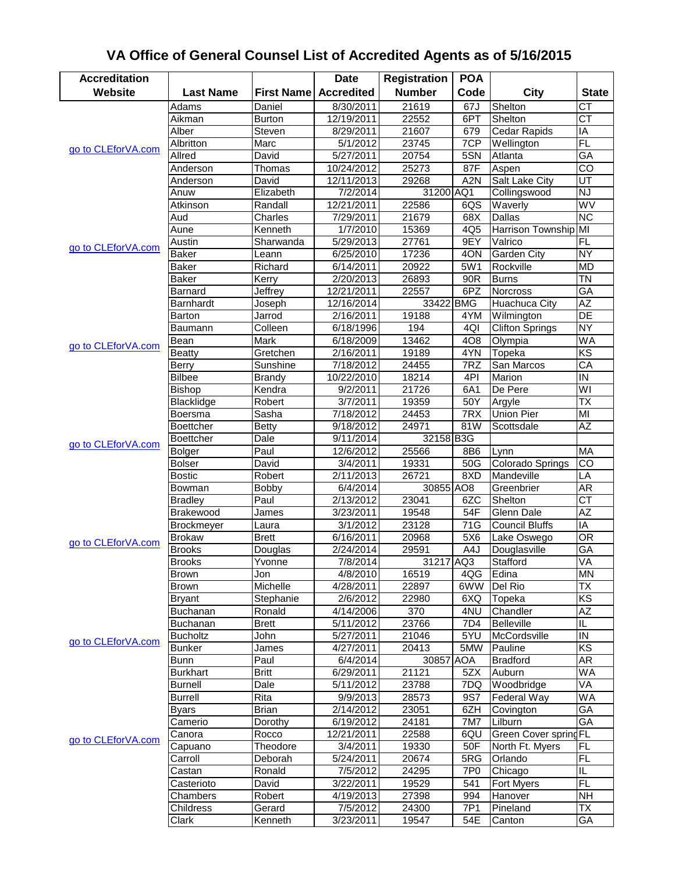| <b>Accreditation</b> |                             |                       | <b>Date</b>            | <b>Registration</b> | <b>POA</b>       |                                     |                              |
|----------------------|-----------------------------|-----------------------|------------------------|---------------------|------------------|-------------------------------------|------------------------------|
| <b>Website</b>       | <b>Last Name</b>            | <b>First Name</b>     | <b>Accredited</b>      | <b>Number</b>       | Code             | <b>City</b>                         | <b>State</b>                 |
|                      | Adams                       | Daniel                | 8/30/2011              | 21619               | 67J              | Shelton                             | <b>CT</b>                    |
|                      | Aikman                      | <b>Burton</b>         | 12/19/2011             | 22552               | 6PT              | Shelton                             | $\overline{\text{CT}}$       |
|                      | Alber                       | Steven                | 8/29/2011              | 21607               | 679              | Cedar Rapids                        | IA                           |
|                      | Albritton                   | Marc                  | 5/1/2012               | 23745               | 7CP              | Wellington                          | FL                           |
| go to CLEforVA.com   | Allred                      | David                 | 5/27/2011              | 20754               | 5SN              | Atlanta                             | $\overline{GA}$              |
|                      | Anderson                    | Thomas                | 10/24/2012             | 25273               | 87F              | Aspen                               | $\overline{C}$               |
|                      | Anderson                    | David                 | 12/11/2013             | 29268               | A <sub>2</sub> N | <b>Salt Lake City</b>               | UT                           |
|                      | Anuw                        | Elizabeth             | 7/2/2014               | 31200 AQ1           |                  | Collingswood                        | NJ                           |
|                      | Atkinson                    | Randall               | 12/21/2011             | 22586               | 6QS              | Waverly                             | WV                           |
|                      | Aud                         | Charles               | 7/29/2011              | 21679               | 68X              | <b>Dallas</b>                       | <b>NC</b>                    |
|                      | Aune                        | Kenneth               | 1/7/2010               | 15369               | 4Q5              | Harrison Township MI                |                              |
|                      | Austin                      | Sharwanda             | 5/29/2013              | 27761               | 9EY              | Valrico                             | FL                           |
| go to CLEforVA.com   | <b>Baker</b>                | Leann                 | 6/25/2010              | 17236               | 4ON              | Garden City                         | <b>NY</b>                    |
|                      | <b>Baker</b>                | Richard               | 6/14/2011              | 20922               | 5W1              | Rockville                           | <b>MD</b>                    |
|                      | Baker                       | Kerry                 | 2/20/2013              | 26893               | 90R              | <b>Burns</b>                        | $\overline{T}N$              |
|                      | Barnard                     | Jeffrey               | 12/21/2011             | 22557               | 6PZ              | <b>Norcross</b>                     | GA                           |
|                      | <b>Barnhardt</b>            | Joseph                | 12/16/2014             | 33422 BMG           |                  | Huachuca City                       | AZ                           |
|                      | <b>Barton</b>               | Jarrod                | $\overline{2}/16/2011$ | 19188               | 4YM              | Wilmington                          | <b>DE</b>                    |
|                      | Baumann                     | Colleen               | $\sqrt{6/18/1996}$     | 194                 | 4QI              | <b>Clifton Springs</b>              | $\overline{NY}$              |
| go to CLEforVA.com   | Bean                        | Mark                  | 6/18/2009              | 13462               | 4O <sub>8</sub>  | Olympia                             | <b>WA</b>                    |
|                      | <b>Beatty</b>               | Gretchen              | 2/16/2011              | 19189               | 4YN              | Topeka                              | KS                           |
|                      | Berry                       | Sunshine              | 7/18/2012              | 24455               | 7RZ              | San Marcos                          | CA                           |
|                      | <b>Bilbee</b>               | <b>Brandy</b>         | 10/22/2010             | 18214               | 4PI              | Marion                              | $\overline{\mathsf{N}}$      |
|                      | <b>Bishop</b>               | Kendra                | 9/2/2011               | 21726               | 6A1              | De Pere                             | WI                           |
|                      | Blacklidge                  | Robert                | 3/7/2011               | 19359               | 50Y              | Argyle                              | <b>TX</b>                    |
|                      | Boersma                     | Sasha                 | 7/18/2012              | 24453               | 7RX              | <b>Union Pier</b>                   | MI                           |
|                      | <b>Boettcher</b>            | Betty                 | 9/18/2012              | 24971               | 81W              | Scottsdale                          | AZ                           |
| go to CLEforVA.com   | <b>Boettcher</b>            | Dale                  | 9/11/2014              | 32158 B3G           |                  |                                     |                              |
|                      | <b>Bolger</b>               | Paul                  | 12/6/2012              | 25566               | 8B6              | Lynn                                | <b>MA</b>                    |
|                      | <b>Bolser</b>               | David                 | 3/4/2011               | 19331               | 50G              | Colorado Springs                    | CO                           |
|                      | <b>Bostic</b>               | Robert                | 2/11/2013              | 26721               | 8XD              | Mandeville                          | LA                           |
|                      | Bowman                      | <b>Bobby</b><br>Paul  | 6/4/2014               | 30855 AO8<br>23041  |                  | Greenbrier                          | AR<br>$\overline{\text{CT}}$ |
|                      | <b>Bradley</b>              |                       | 2/13/2012              |                     | 6ZC<br>54F       | Shelton                             | $\overline{AZ}$              |
|                      | Brakewood                   | James                 | 3/23/2011              | 19548               |                  | Glenn Dale<br><b>Council Bluffs</b> |                              |
|                      | Brockmeyer<br><b>Brokaw</b> | Laura<br><b>Brett</b> | 3/1/2012<br>6/16/2011  | 23128<br>20968      | 71G<br>5X6       | Lake Oswego                         | IA<br>$\overline{OR}$        |
| go to CLEforVA.com   | <b>Brooks</b>               | Douglas               | 2/24/2014              | 29591               | A4J              | Douglasville                        | $\overline{GA}$              |
|                      | <b>Brooks</b>               | Yvonne                | 7/8/2014               | 31217 AQ3           |                  | Stafford                            | VA                           |
|                      | <b>Brown</b>                | Jon                   | 4/8/2010               | 16519               | 4QG              | Edina                               | <b>MN</b>                    |
|                      | <b>Brown</b>                | Michelle              | 4/28/2011              | 22897               | 6WW              | Del Rio                             | <b>TX</b>                    |
|                      | <b>Bryant</b>               | Stephanie             | 2/6/2012               | 22980               | 6XQ              | Topeka                              | $\overline{KS}$              |
|                      | <b>Buchanan</b>             | Ronald                | 4/14/2006              | 370                 | 4NU              | Chandler                            | $\overline{AZ}$              |
|                      | <b>Buchanan</b>             | <b>Brett</b>          | 5/11/2012              | 23766               | 7D4              | Belleville                          | IL                           |
|                      | <b>Bucholtz</b>             | John                  | 5/27/2011              | 21046               | 5YU              | McCordsville                        | ${\sf IN}$                   |
| go to CLEforVA.com   | Bunker                      | James                 | 4/27/2011              | 20413               | 5MW              | Pauline                             | KS                           |
|                      | <b>Bunn</b>                 | Paul                  | 6/4/2014               | 30857               | <b>AOA</b>       | <b>Bradford</b>                     | <b>AR</b>                    |
|                      | <b>Burkhart</b>             | <b>Britt</b>          | 6/29/2011              | 21121               | 5ZX              | Auburn                              | <b>WA</b>                    |
|                      | <b>Burnell</b>              | Dale                  | 5/11/2012              | 23788               | 7DQ              | Woodbridge                          | VA                           |
|                      | <b>Burrell</b>              | Rita                  | 9/9/2013               | 28573               | 9S7              | Federal Way                         | WA                           |
|                      | <b>Byars</b>                | Brian                 | 2/14/2012              | 23051               | 6ZH              | Covington                           | GA                           |
|                      | Camerio                     | Dorothy               | 6/19/2012              | 24181               | 7M7              | Lilburn                             | GA                           |
|                      | Canora                      | Rocco                 | 12/21/2011             | 22588               | 6QU              | Green Cover spring FL               |                              |
| go to CLEforVA.com   | Capuano                     | Theodore              | 3/4/2011               | 19330               | 50F              | North Ft. Myers                     | FL                           |
|                      | Carroll                     | Deborah               | 5/24/2011              | 20674               | 5RG              | Orlando                             | F                            |
|                      | Castan                      | Ronald                | 7/5/2012               | 24295               | 7P0              | Chicago                             | IL                           |
|                      | Casterioto                  | David                 | 3/22/2011              | 19529               | 541              | Fort Myers                          | FL                           |
|                      | Chambers                    | Robert                | 4/19/2013              | 27398               | 994              | Hanover                             | $\overline{N}$               |
|                      | Childress                   | Gerard                | 7/5/2012               | 24300               | 7P1              | Pineland                            | TX                           |
|                      | Clark                       | Kenneth               | 3/23/2011              | 19547               | 54E              | Canton                              | GA                           |

## **VA Office of General Counsel List of Accredited Agents as of 5/16/2015**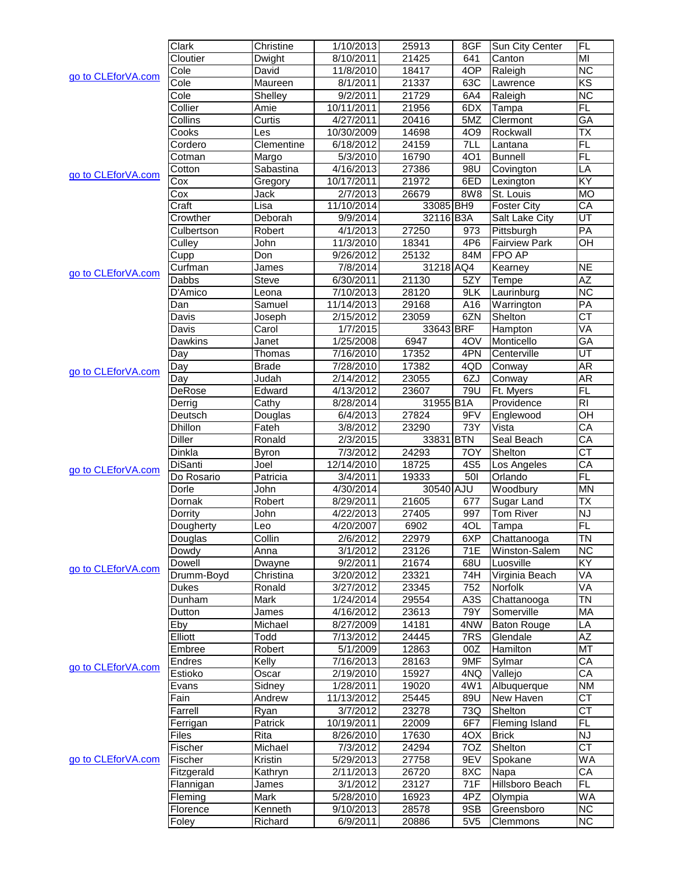|                    | Clark           | Christine        | 1/10/2013              | 25913          | 8GF                     | <b>Sun City Center</b>         | FL                       |
|--------------------|-----------------|------------------|------------------------|----------------|-------------------------|--------------------------------|--------------------------|
|                    | Cloutier        | Dwight           | 8/10/2011              | 21425          | 641                     | Canton                         | $\overline{\mathsf{M}}$  |
|                    | Cole            | David            | 11/8/2010              | 18417          | 4OP                     | Raleigh                        | <b>NC</b>                |
| go to CLEforVA.com | Cole            | Maureen          | 8/1/2011               | 21337          | 63C                     | Lawrence                       | KS                       |
|                    | Cole            | Shelley          | 9/2/2011               | 21729          | 6A4                     | Raleigh                        | $\overline{\text{NC}}$   |
|                    | Collier         | Amie             | 10/11/2011             | 21956          | 6DX                     | Tampa                          | FL                       |
|                    | Collins         | Curtis           | 4/27/2011              | 20416          | 5MZ                     | Clermont                       | GA                       |
|                    | Cooks           | Les              | 10/30/2009             | 14698          | 4O9                     | Rockwall                       | <b>TX</b>                |
|                    | Cordero         | Clementine       | 6/18/2012              | 24159          | 7LL                     | Lantana                        | FL                       |
|                    |                 |                  |                        |                |                         |                                |                          |
|                    | Cotman          | Margo            | 5/3/2010               | 16790          | 4O1                     | <b>Bunnell</b>                 | $\overline{\mathsf{F}}$  |
| go to CLEforVA.com | Cotton          | Sabastina        | 4/16/2013              | 27386          | 98U                     | Covington                      | LA                       |
|                    | Cox             | Gregory          | 10/17/2011             | 21972          | 6ED                     | Lexington                      | KY                       |
|                    | Cox             | Jack             | 2/7/2013               | 26679          | 8W8                     | St. Louis                      | <b>OM</b>                |
|                    | Craft           | Lisa             | 11/10/2014             | 33085 BH9      |                         | <b>Foster City</b>             | $\overline{CA}$          |
|                    | Crowther        | Deborah          | 9/9/2014               | 32116 B3A      |                         | <b>Salt Lake City</b>          | UT                       |
|                    | Culbertson      | Robert           | 4/1/2013               | 27250          | 973                     | Pittsburgh                     | PA                       |
|                    | Culley          | John             | 11/3/2010              | 18341          | 4P6                     | <b>Fairview Park</b>           | OН                       |
|                    | Cupp            | Don              | 9/26/2012              | 25132          | 84M                     | FPO AP                         |                          |
| go to CLEforVA.com | Curfman         | James            | 7/8/2014               | 31218 AQ4      |                         | Kearney                        | <b>NE</b>                |
|                    | Dabbs           | Steve            | 6/30/2011              | 21130          | 5ZY                     | Tempe                          | $\overline{AZ}$          |
|                    | D'Amico         | Leona            | 7/10/2013              | 28120          | 9LK                     | Laurinburg                     | <b>NC</b>                |
|                    | Dan             | Samuel           | 11/14/2013             | 29168          | A16                     | Warrington                     | PA                       |
|                    | Davis           | Joseph           | 2/15/2012              | 23059          | 6ZN                     | Shelton                        | $\overline{\text{CT}}$   |
|                    | Davis           | Carol            | 1/7/2015               | 33643 BRF      |                         | Hampton                        | VA                       |
|                    | Dawkins         | Janet            | 1/25/2008              | 6947           | 4OV                     | Monticello                     | $\overline{GA}$          |
|                    | Day             | Thomas           | 7/16/2010              | 17352          | 4PN                     | Centerville                    | $\overline{\mathsf{UT}}$ |
|                    | Day             | Brade            | 7/28/2010              | 17382          | 4QD                     | Conway                         | AR                       |
| go to CLEforVA.com | Day             | Judah            | 2/14/2012              | 23055          | 6ZJ                     | Conway                         | AR                       |
|                    | DeRose          | Edward           | 4/13/2012              | 23607          | 79U                     | Ft. Myers                      | $\overline{F}$           |
|                    | Derrig          | Cathy            | 8/28/2014              | 31955 B1A      |                         | Providence                     | $\overline{R}$           |
|                    | Deutsch         | Douglas          | 6/4/2013               | 27824          | 9FV                     | Englewood                      | OН                       |
|                    | <b>Dhillon</b>  | Fateh            | 3/8/2012               | 23290          | 73Y                     | Vista                          | $\overline{CA}$          |
|                    | <b>Diller</b>   | Ronald           | 2/3/2015               | 33831 BTN      |                         | Seal Beach                     | CA                       |
|                    | Dinkla          | Byron            | 7/3/2012               | 24293          | 7OY                     | Shelton                        | $\overline{\text{CT}}$   |
|                    | DiSanti         | Joel             | 12/14/2010             | 18725          | 4S5                     | Los Angeles                    | $\overline{CA}$          |
| go to CLEforVA.com | Do Rosario      | Patricia         | 3/4/2011               | 19333          | 50I                     | Orlando                        | FL                       |
|                    | Dorle           | John             | 4/30/2014              | 30540 AJU      |                         | Woodbury                       | <b>MN</b>                |
|                    | Dornak          | Robert           | 8/29/2011              | 21605          | 677                     | Sugar Land                     | TX                       |
|                    | Dorrity         | John             | 4/22/2013              | 27405          | 997                     | <b>Tom River</b>               | <b>NJ</b>                |
|                    | Dougherty       | Leo              | 4/20/2007              | 6902           | 4OL                     | Tampa                          | FL                       |
|                    | Douglas         | Collin           | 2/6/2012               | 22979          | 6XP                     | Chattanooga                    | TN                       |
|                    |                 |                  |                        |                |                         |                                | <b>NC</b>                |
|                    | Dowdy<br>Dowell | Anna             | 3/1/2012<br>9/2/2011   | 23126<br>21674 | 71E<br>68U              | Winston-Salem<br>Luosville     | KY                       |
| go to CLEforVA.com |                 | Dwayne           |                        |                |                         | Virginia Beach                 | VA                       |
|                    | Drumm-Boyd      | Christina        | 3/20/2012              | 23321          | 74H                     |                                |                          |
|                    | Dukes           | Ronald           | 3/27/2012              | 23345          | 752                     | Norfolk                        | VA                       |
|                    | Dunham          | Mark             | 1/24/2014              | 29554          | A <sub>3</sub> S<br>79Y | Chattanooga                    | TN                       |
|                    | Dutton          | James<br>Michael | 4/16/2012              | 23613<br>14181 | 4NW                     | Somerville                     | MA                       |
|                    | Eby<br>Elliott  | Todd             | 8/27/2009<br>7/13/2012 | 24445          | 7RS                     | <b>Baton Rouge</b><br>Glendale | LA<br>$\overline{AZ}$    |
|                    |                 |                  |                        |                |                         |                                |                          |
|                    | Embree          | Robert           | 5/1/2009               | 12863          | 00Z                     | Hamilton                       | $\overline{MT}$          |
| go to CLEforVA.com | Endres          | Kelly            | 7/16/2013              | 28163          | 9MF                     | Sylmar                         | CA                       |
|                    | Estioko         | Oscar            | 2/19/2010              | 15927          | 4NQ                     | Vallejo                        | $\overline{CA}$          |
|                    | Evans           | Sidney           | 1/28/2011              | 19020          | 4W1                     | Albuquerque                    | ΝM                       |
|                    | Fain            | Andrew           | 11/13/2012             | 25445          | 89U                     | New Haven                      | CT                       |
|                    | Farrell         | Ryan             | 3/7/2012               | 23278          | 73Q                     | Shelton                        | CT                       |
|                    | Ferrigan        | Patrick          | 10/19/2011             | 22009          | 6F7                     | Fleming Island                 | $\overline{FL}$          |
|                    | <b>Files</b>    | Rita             | 8/26/2010              | 17630          | 4OX                     | <b>Brick</b>                   | <b>NJ</b>                |
|                    | Fischer         | Michael          | 7/3/2012               | 24294          | 70Z                     | Shelton                        | $\overline{\text{CT}}$   |
| go to CLEforVA.com | Fischer         | Kristin          | 5/29/2013              | 27758          | 9EV                     | Spokane                        | <b>WA</b>                |
|                    | Fitzgerald      | Kathryn          | 2/11/2013              | 26720          | 8XC                     | Napa                           | СA                       |
|                    | Flannigan       | James            | 3/1/2012               | 23127          | 71F                     | Hillsboro Beach                | FL                       |
|                    | Fleming         | Mark             | 5/28/2010              | 16923          | 4PZ                     | Olympia                        | WA                       |
|                    | Florence        | Kenneth          | 9/10/2013              | 28578          | 9SB                     | Greensboro                     | $\overline{\text{NC}}$   |
|                    | Foley           | Richard          | 6/9/2011               | 20886          | 5V <sub>5</sub>         | Clemmons                       | NC                       |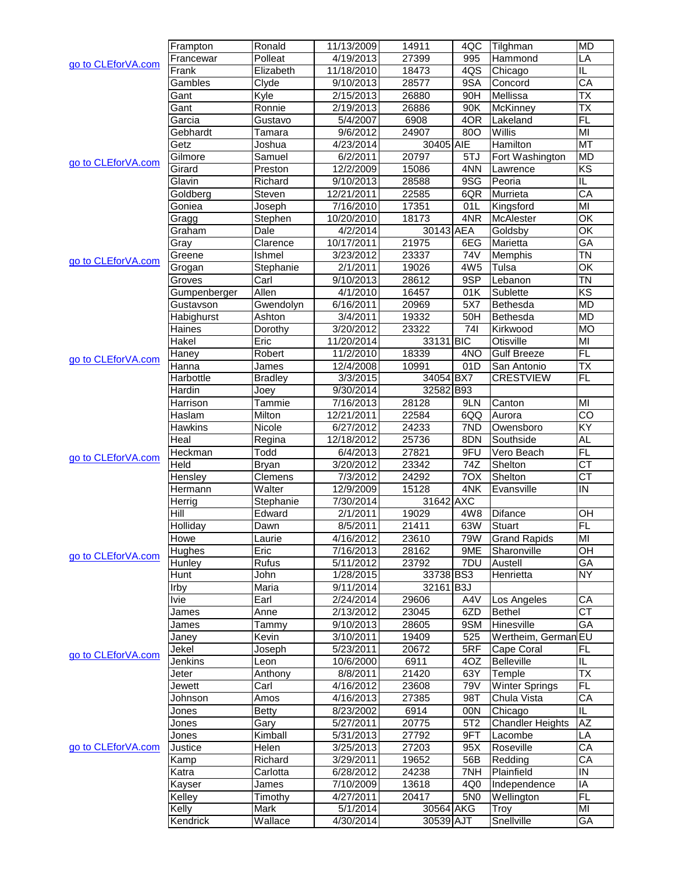|                    | Frampton     | Ronald         | 11/13/2009          | 14911     | 4QC             | Tilghman                | <b>MD</b>                |
|--------------------|--------------|----------------|---------------------|-----------|-----------------|-------------------------|--------------------------|
| go to CLEforVA.com | Francewar    | Polleat        | 4/19/2013           | 27399     | 995             | Hammond                 | LA                       |
|                    | Frank        | Elizabeth      | 11/18/2010          | 18473     | 4QS             | Chicago                 | IL                       |
|                    | Gambles      | Clyde          | 9/10/2013           | 28577     | 9SA             | Concord                 | CA                       |
|                    | Gant         | Kyle           | 2/15/2013           | 26880     | 90H             | Mellissa                | TΧ                       |
|                    | Gant         | Ronnie         | 2/19/2013           | 26886     | 90K             | McKinney                | TΧ                       |
|                    | Garcia       | Gustavo        | 5/4/2007            | 6908      | 4OR             | Lakeland                | $\overline{FL}$          |
|                    | Gebhardt     | Tamara         | 9/6/2012            | 24907     | 800             | Willis                  | MI                       |
|                    | Getz         | Joshua         | 4/23/2014           | 30405 AIE |                 | Hamilton                | MT                       |
|                    | Gilmore      | Samuel         | 6/2/2011            | 20797     | 5TJ             | Fort Washington         | <b>MD</b>                |
| go to CLEforVA.com | Girard       | Preston        | 12/2/2009           | 15086     | 4NN             | Lawrence                | KS                       |
|                    | Glavin       | Richard        | 9/10/2013           | 28588     | 9SG             | Peoria                  | IL                       |
|                    | Goldberg     | Steven         | 12/21/2011          | 22585     | 6QR             | Murrieta                | $\overline{CA}$          |
|                    |              |                | 7/16/2010           | 17351     | 01L             |                         | $\overline{\mathsf{M}}$  |
|                    | Goniea       | Joseph         |                     | 18173     | 4NR             | Kingsford               | $\overline{\mathsf{OK}}$ |
|                    | Gragg        | Stephen        | 10/20/2010          | 30143 AEA |                 | McAlester               | $\overline{\mathsf{OK}}$ |
|                    | Graham       | Dale           | 4/2/2014            |           |                 | Goldsby                 |                          |
|                    | Gray         | Clarence       | 10/17/2011          | 21975     | 6EG             | Marietta                | GA                       |
| go to CLEforVA.com | Greene       | Ishmel         | 3/23/2012           | 23337     | 74V             | Memphis                 | ΤN                       |
|                    | Grogan       | Stephanie      | 2/1/2011            | 19026     | 4W <sub>5</sub> | Tulsa                   | $\overline{\mathsf{OK}}$ |
|                    | Groves       | Carl           | 9/10/2013           | 28612     | 9SP             | Lebanon                 | <b>TN</b>                |
|                    | Gumpenberger | Allen          | 4/1/2010            | 16457     | 01K             | Sublette                | $\overline{\text{KS}}$   |
|                    | Gustavson    | Gwendolyn      | $\sqrt{6/16/2011}$  | 20969     | 5X7             | Bethesda                | <b>MD</b>                |
|                    | Habighurst   | Ashton         | 3/4/2011            | 19332     | 50H             | Bethesda                | <b>MD</b>                |
|                    | Haines       | Dorothy        | 3/20/2012           | 23322     | 741             | Kirkwood                | <b>MO</b>                |
|                    | Hakel        | Eric           | 11/20/2014          | 33131 BIC |                 | <b>Otisville</b>        | MI                       |
|                    | Haney        | Robert         | 11/2/2010           | 18339     | 4NO             | <b>Gulf Breeze</b>      | $\overline{FL}$          |
| go to CLEforVA.com | Hanna        | James          | 12/4/2008           | 10991     | 01D             | San Antonio             | TΧ                       |
|                    | Harbottle    | <b>Bradley</b> | 3/3/2015            | 34054 BX7 |                 | <b>CRESTVIEW</b>        | FL                       |
|                    | Hardin       | Joey           | 9/30/2014           | 32582 B93 |                 |                         |                          |
|                    | Harrison     | Tammie         | 7/16/2013           | 28128     | 9LN             | Canton                  | MI                       |
|                    | Haslam       | Milton         | 12/21/2011          | 22584     | 6QQ             | Aurora                  | $\overline{c}$           |
|                    | Hawkins      | Nicole         | 6/27/2012           | 24233     | 7ND             | Owensboro               | $\overline{KY}$          |
|                    |              |                | 12/18/2012          |           |                 |                         | <b>AL</b>                |
|                    | Heal         | Regina         |                     | 25736     | 8DN             | Southside               |                          |
| go to CLEforVA.com | Heckman      | Todd           | 6/4/2013            | 27821     | 9FU             | Vero Beach              | FL                       |
|                    | Held         | Bryan          | 3/20/2012           | 23342     | 74Z             | Shelton                 | $\overline{\text{CT}}$   |
|                    | Hensley      | Clemens        | 7/3/2012            | 24292     | 70X             | Shelton                 | $\overline{\text{CT}}$   |
|                    | Hermann      | Walter         | 12/9/2009           | 15128     | 4NK             | Evansville              | IN                       |
|                    | Herrig       | Stephanie      | 7/30/2014           | 31642 AXC |                 |                         |                          |
|                    | Hill         | Edward         | 2/1/2011            | 19029     | 4W8             | Difance                 | OН                       |
|                    | Holliday     | Dawn           | 8/5/2011            | 21411     | 63W             | <b>Stuart</b>           | FL                       |
|                    | Howe         | Laurie         | 4/16/2012           | 23610     | 79W             | <b>Grand Rapids</b>     | MI                       |
| go to CLEforVA.com | Hughes       | Eric           | 7/16/2013           | 28162     | 9ME             | Sharonville             | OH                       |
|                    | Hunley       | Rufus          | 5/11/2012           | 23792     | 7DU             | Austell                 | $\overline{GA}$          |
|                    | Hunt         | John           | 1/28/2015           | 33738 BS3 |                 | Henrietta               | NY                       |
|                    | Irby         | Maria          | 9/11/2014           | 32161 B3J |                 |                         |                          |
|                    | Ivie         | Earl           | 2/24/2014           | 29606     | A4V             | Los Angeles             | CA                       |
|                    | James        | Anne           | 2/13/2012           | 23045     | 6ZD             | <b>Bethel</b>           | <b>CT</b>                |
|                    | James        | Tammy          | 9/10/2013           | 28605     | 9SM             | Hinesville              | GA                       |
|                    | Janey        | Kevin          | 3/10/2011           | 19409     | 525             | Wertheim, German        | $E$ U                    |
|                    | Jekel        | Joseph         | 5/23/2011           | 20672     | 5RF             | Cape Coral              | <b>FL</b>                |
| go to CLEforVA.com | Jenkins      | Leon           | 10/6/2000           | 6911      | 4OZ             | Belleville              | $\overline{\mathbb{L}}$  |
|                    | Jeter        | Anthony        | 8/8/2011            | 21420     | 63Y             | Temple                  | $\overline{\mathsf{TX}}$ |
|                    | Jewett       | Carl           | 4/16/2012           | 23608     | 79V             | <b>Winter Springs</b>   | $\overline{FL}$          |
|                    | Johnson      | Amos           | 4/16/2013           | 27385     | 98T             | Chula Vista             | CA                       |
|                    |              |                |                     |           |                 |                         | IL                       |
|                    | Jones        | <b>Betty</b>   | 8/23/2002           | 6914      | 00N             | Chicago                 |                          |
|                    | Jones        | Gary           | 5/27/2011           | 20775     | 5T <sub>2</sub> | <b>Chandler Heights</b> | $\overline{AZ}$          |
|                    | Jones        | Kimball        | 5/31/2013           | 27792     | 9FT             | Lacombe                 | LA                       |
| go to CLEforVA.com | Justice      | Helen          | 3/25/2013           | 27203     | 95X             | Roseville               | CA                       |
|                    | Kamp         | Richard        | 3/29/2011           | 19652     | 56B             | Redding                 | CA                       |
|                    | Katra        | Carlotta       | 6/28/2012           | 24238     | 7NH             | Plainfield              | IN                       |
|                    | Kayser       | James          | 7/10/2009           | 13618     | 4Q0             | Independence            | ΙA                       |
|                    | Kelley       | Timothy        | $\frac{4}{27}/2011$ | 20417     | 5N <sub>0</sub> | Wellington              | $\overline{FL}$          |
|                    | Kelly        | Mark           | 5/1/2014            | 30564 AKG |                 | Troy                    | $\overline{\mathsf{M}}$  |
|                    | Kendrick     | Wallace        | 4/30/2014           | 30539 AJT |                 | Snellville              | $\overline{GA}$          |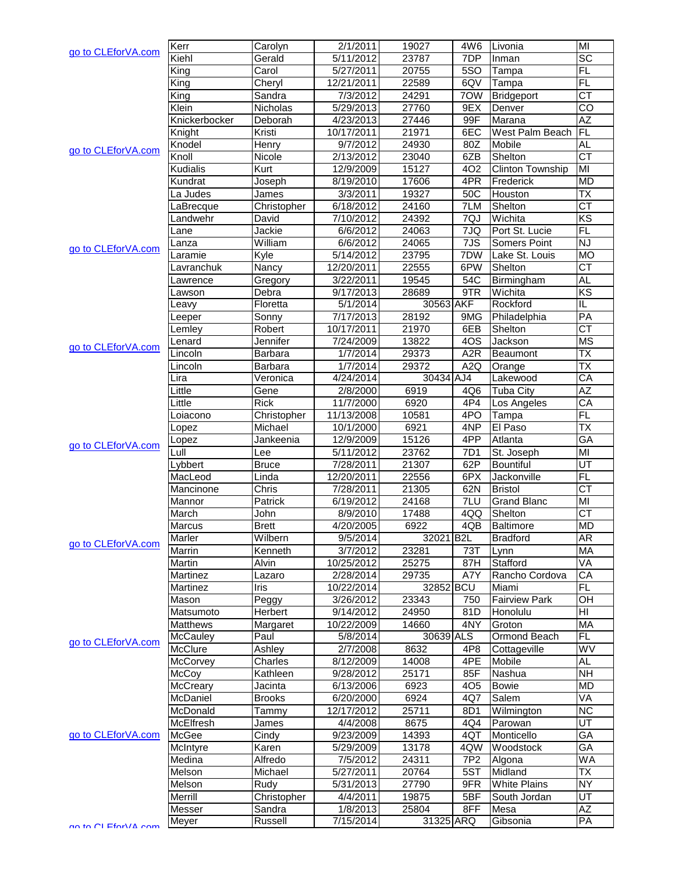|                      | Kerr                         | Carolyn             | 2/1/2011                | 19027          | 4W6              | Livonia                 | MI                       |
|----------------------|------------------------------|---------------------|-------------------------|----------------|------------------|-------------------------|--------------------------|
| go to CLEforVA.com   | Kiehl                        | Gerald              | 5/11/2012               | 23787          | 7DP              | Inman                   | $\overline{SC}$          |
|                      | King                         | Carol               | 5/27/2011               | 20755          | 5SO              | Tampa                   | FL.                      |
|                      | King                         | Cheryl              | 12/21/2011              | 22589          | 6QV              | Tampa                   | FL                       |
|                      | King                         | Sandra              | 7/3/2012                | 24291          | 70W              | <b>Bridgeport</b>       | $\overline{\text{CT}}$   |
|                      | Klein                        | Nicholas            | 5/29/2013               | 27760          | 9EX              | Denver                  | $\overline{C}$           |
|                      | Knickerbocker                | Deborah             | 4/23/2013               | 27446          | 99F              | Marana                  | AZ                       |
|                      |                              | Kristi              | 10/17/2011              | 21971          | 6EC              | West Palm Beach         | $\overline{F}$           |
|                      | Knight                       |                     |                         |                |                  |                         | AL                       |
| go to CLEforVA.com   | Knodel                       | Henry               | 9/7/2012                | 24930          | 80Z              | Mobile                  | $\overline{\text{CT}}$   |
|                      | Knoll                        | Nicole              | 2/13/2012               | 23040          | 6ZB              | Shelton                 |                          |
|                      | <b>Kudialis</b>              | Kurt                | 12/9/2009               | 15127          | 4O <sub>2</sub>  | <b>Clinton Township</b> | MI                       |
|                      | Kundrat                      | Joseph              | 8/19/2010               | 17606          | 4PR              | Frederick               | <b>MD</b>                |
|                      | La Judes                     | James               | 3/3/2011                | 19327          | 50C              | Houston                 | $\overline{\mathsf{TX}}$ |
|                      | LaBrecque                    | Christopher         | 6/18/2012               | 24160          | 7LM              | Shelton                 | $\overline{\text{CT}}$   |
|                      | Landwehr                     | David               | 7/10/2012               | 24392          | 7QJ              | Wichita                 | KS                       |
|                      | Lane                         | Jackie              | 6/6/2012                | 24063          | 7JQ              | Port St. Lucie          | $\overline{FL}$          |
| go to CLEforVA.com   | Lanza                        | William             | 6/6/2012                | 24065          | 7JS              | Somers Point            | <b>NJ</b>                |
|                      | Laramie                      | Kyle                | 5/14/2012               | 23795          | 7DW              | Lake St. Louis          | <b>MO</b>                |
|                      | Lavranchuk                   | Nancy               | 12/20/2011              | 22555          | 6PW              | Shelton                 | $\overline{\text{CT}}$   |
|                      | Lawrence                     | Gregory             | 3/22/2011               | 19545          | 54C              | Birmingham              | AL                       |
|                      | Lawson                       | Debra               | 9/17/2013               | 28689          | 9TR              | Wichita                 | KS                       |
|                      | Leavy                        | Floretta            | 5/1/2014                | 30563 AKF      |                  | Rockford                | ĪL                       |
|                      | Leeper                       | Sonny               | 7/17/2013               | 28192          | 9MG              | Philadelphia            | PA                       |
|                      | Lemley                       | Robert              | 10/17/2011              | 21970          | 6EB              | Shelton                 | $\overline{\text{CT}}$   |
| go to CLEforVA.com   | Lenard                       | Jennifer            | 7/24/2009               | 13822          | 4OS              | Jackson                 | <b>MS</b>                |
|                      | Lincoln                      | <b>Barbara</b>      | 1/7/2014                | 29373          | A <sub>2</sub> R | Beaumont                | $\overline{\mathsf{TX}}$ |
|                      | Lincoln                      | Barbara             | 1/7/2014                | 29372          | A2Q              | Orange                  | $\overline{\mathsf{TX}}$ |
|                      | Lira                         | Veronica            | 4/24/2014               | 30434 AJ4      |                  | Lakewood                | СĀ                       |
|                      | Little                       | Gene                | 2/8/2000                | 6919           | 4Q6              | <b>Tuba City</b>        | $\overline{AZ}$          |
|                      | Little                       | <b>Rick</b>         | 11/7/2000               | 6920           | 4P4              | Los Angeles             | CA                       |
|                      | Loiacono                     | Christopher         | 11/13/2008              | 10581          | 4PO              | Tampa                   | $\overline{FL}$          |
|                      | Lopez                        | Michael             | 10/1/2000               | 6921           | 4NP              | El Paso                 | $\overline{\mathsf{TX}}$ |
|                      | Lopez                        | Jankeenia           | 12/9/2009               | 15126          | 4PP              | Atlanta                 | GA                       |
| go to CLEforVA.com   | Lull                         | Lee                 | 5/11/2012               | 23762          | 7D1              | St. Joseph              | MI                       |
|                      | Lybbert                      | <b>Bruce</b>        | 7/28/2011               | 21307          | 62P              | <b>Bountiful</b>        | $\overline{\mathsf{UT}}$ |
|                      | MacLeod                      | Linda               | 12/20/2011              | 22556          | 6PX              | Jackonville             | FL                       |
|                      | Mancinone                    | Chris               | 7/28/2011               | 21305          | 62N              | <b>Bristol</b>          | $\overline{\text{CT}}$   |
|                      | Mannor                       | Patrick             | 6/19/2012               | 24168          | 7LU              | <b>Grand Blanc</b>      | MI                       |
|                      | March                        | John                | 8/9/2010                | 17488          | 4QQ              | Shelton                 | $\overline{\text{CT}}$   |
|                      | Marcus                       | <b>Brett</b>        | 4/20/2005               | 6922           | 4QB              | <b>Baltimore</b>        | <b>MD</b>                |
|                      |                              | Wilbern             | 9/5/2014                |                |                  | Bradtord                |                          |
| go to CLEforVA.com   | Marler                       |                     |                         | 32021 B2L      |                  |                         | AR<br>MA                 |
|                      | Marrin<br>Martin             | Kenneth<br>Alvin    | 3/7/2012<br>10/25/2012  | 23281<br>25275 | 73T<br>87H       | Lynn<br>Stafford        | VA                       |
|                      | Martinez                     |                     |                         | 29735          | A7Y              |                         | CA                       |
|                      |                              | Lazaro              | 2/28/2014               | 32852 BCU      |                  | Rancho Cordova          | $F\Box$                  |
|                      | Martinez<br>Mason            | Iris<br>Peggy       | 10/22/2014<br>3/26/2012 | 23343          | 750              | Miami<br>Fairview Park  | OH                       |
|                      |                              |                     |                         |                |                  |                         |                          |
|                      | Matsumoto<br><b>Matthews</b> | Herbert<br>Margaret | 9/14/2012<br>10/22/2009 | 24950<br>14660 | 81D<br>4NY       | Honolulu<br>Groton      | HI<br><b>MA</b>          |
|                      | <b>McCauley</b>              |                     |                         | 30639 ALS      |                  | <b>Ormond Beach</b>     | FL                       |
| go to CLEforVA.com   |                              | Paul                | 5/8/2014                |                |                  |                         |                          |
|                      | McClure                      | Ashley              | 2/7/2008                | 8632           | 4P8              | Cottageville            | WV                       |
|                      | McCorvey                     | Charles             | 8/12/2009               | 14008          | 4PE              | Mobile                  | AL                       |
|                      | McCoy                        | Kathleen            | 9/28/2012               | 25171          | 85F              | Nashua                  | $\overline{NH}$          |
|                      | McCreary                     | Jacinta             | 6/13/2006               | 6923           | 4O <sub>5</sub>  | <b>Bowie</b>            | MD                       |
|                      | McDaniel                     | <b>Brooks</b>       | 6/20/2000               | 6924           | 4Q7              | Salem                   | VA                       |
|                      | McDonald                     | Tammy               | 12/17/2012              | 25711          | 8D1              | Wilmington              | <b>NC</b>                |
|                      | McElfresh                    | James               | 4/4/2008                | 8675           | 4Q4              | Parowan                 | $\overline{\mathsf{UT}}$ |
| go to CLEforVA.com   | McGee                        | Cindy               | 9/23/2009               | 14393          | 4QT              | Monticello              | $\overline{GA}$          |
|                      | McIntyre                     | Karen               | 5/29/2009               | 13178          | 4QW              | Woodstock               | <b>GA</b>                |
|                      | Medina                       | Alfredo             | 7/5/2012                | 24311          | 7P <sub>2</sub>  | Algona                  | <b>WA</b>                |
|                      | Melson                       | Michael             | 5/27/2011               | 20764          | 5ST              | Midland                 | <b>TX</b>                |
|                      | Melson                       | Rudy                | 5/31/2013               | 27790          | 9FR              | <b>White Plains</b>     | $\overline{NY}$          |
|                      | Merrill                      | Christopher         | 4/4/2011                | 19875          | 5BF              | South Jordan            | UT                       |
|                      | Messer                       | Sandra              | 1/8/2013                | 25804          | 8FF              | Mesa                    | AZ                       |
| an to CLE for VA com | Meyer                        | Russell             | 7/15/2014               | 31325 ARQ      |                  | Gibsonia                | $\overline{PA}$          |
|                      |                              |                     |                         |                |                  |                         |                          |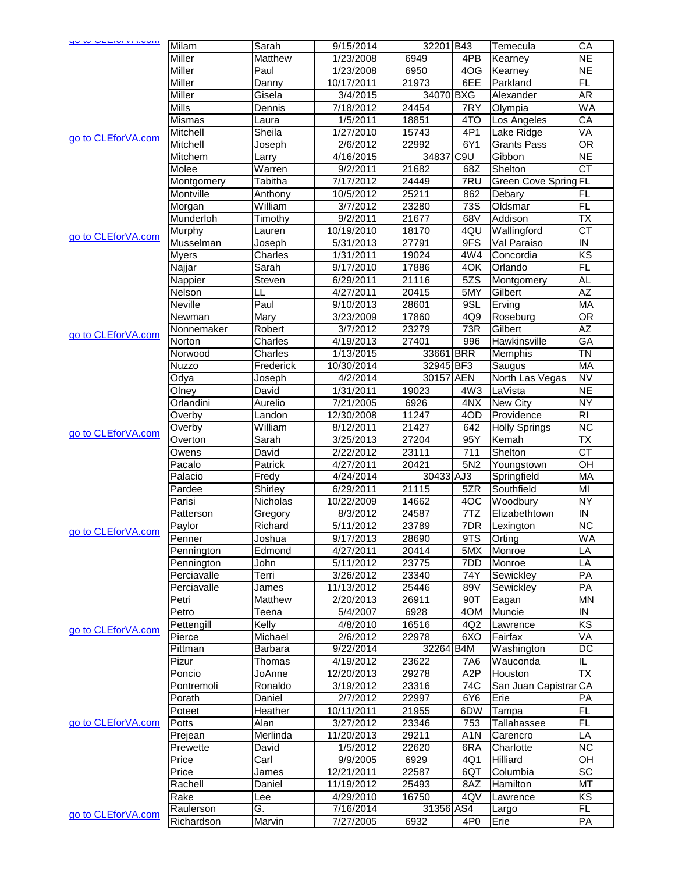| שט גט טבבוטו אהגטטווו |                |                |                    |           |                  |                       |                                |
|-----------------------|----------------|----------------|--------------------|-----------|------------------|-----------------------|--------------------------------|
|                       | Milam          | Sarah          | 9/15/2014          | 32201 B43 |                  | Temecula              | $\overline{CA}$                |
|                       | <b>Miller</b>  | <b>Matthew</b> | 1/23/2008          | 6949      | 4PB              | Kearney               | <b>NE</b>                      |
|                       | Miller         | Paul           | 1/23/2008          | 6950      | 4OG              | Kearney               | N <sub>E</sub>                 |
|                       | Miller         | Danny          | 10/17/2011         | 21973     | 6EE              | Parkland              | $\overline{FL}$                |
|                       |                |                |                    |           |                  |                       |                                |
|                       | <b>Miller</b>  | Gisela         | 3/4/2015           | 34070 BXG |                  | Alexander             | $\overline{AR}$                |
|                       | <b>Mills</b>   | Dennis         | 7/18/2012          | 24454     | 7RY              | Olympia               | WA                             |
|                       | Mismas         | Laura          | 1/5/2011           | 18851     | 4TO              | Los Angeles           | $\overline{CA}$                |
|                       | Mitchell       | Sheila         | $\sqrt{1/27/2010}$ | 15743     | 4P1              | Lake Ridge            | VA                             |
| go to CLEforVA.com    | Mitchell       |                | 2/6/2012           | 22992     | 6Y1              | <b>Grants Pass</b>    | $\overline{\overline{\rm OR}}$ |
|                       |                | Joseph         |                    |           |                  |                       |                                |
|                       | Mitchem        | Larry          | 4/16/2015          | 34837 C9U |                  | Gibbon                | NE                             |
|                       | Molee          | Warren         | 9/2/2011           | 21682     | 68Z              | Shelton               | $\overline{\text{CT}}$         |
|                       | Montgomery     | Tabitha        | 7/17/2012          | 24449     | 7RU              | Green Cove Spring FL  |                                |
|                       | Montville      | Anthony        | 10/5/2012          | 25211     | 862              | Debary                | $F$ L                          |
|                       |                |                |                    |           |                  |                       |                                |
|                       | Morgan         | William        | 3/7/2012           | 23280     | 73S              | Oldsmar               | FL                             |
|                       | Munderloh      | Timothy        | 9/2/2011           | 21677     | 68V              | Addison               | $\overline{\mathsf{TX}}$       |
|                       | Murphy         | Lauren         | 10/19/2010         | 18170     | 4QU              | Wallingford           | $\overline{\text{CT}}$         |
| go to CLEforVA.com    | Musselman      | Joseph         | 5/31/2013          | 27791     | 9FS              | Val Paraiso           | IN                             |
|                       | <b>Myers</b>   | Charles        | 1/31/2011          | 19024     | 4W4              | Concordia             | KS                             |
|                       | Najjar         | Sarah          | 9/17/2010          | 17886     | 4OK              | Orlando               | $\overline{FL}$                |
|                       |                |                |                    |           |                  |                       |                                |
|                       | Nappier        | Steven         | 6/29/2011          | 21116     | 5ZS              | Montgomery            | AL                             |
|                       | Nelson         | LL             | 4/27/2011          | 20415     | 5MY              | Gilbert               | AZ                             |
|                       | <b>Neville</b> | Paul           | 9/10/2013          | 28601     | 9SL              | Erving                | <b>MA</b>                      |
|                       | Newman         | Mary           | 3/23/2009          | 17860     | 4Q9              | Roseburg              | <b>OR</b>                      |
|                       | Nonnemaker     | Robert         | 3/7/2012           | 23279     | 73R              | Gilbert               | $\overline{AZ}$                |
| go to CLEforVA.com    | Norton         | Charles        | 4/19/2013          | 27401     | 996              | Hawkinsville          | $\overline{GA}$                |
|                       |                |                |                    |           |                  |                       |                                |
|                       | Norwood        | Charles        | 1/13/2015          | 33661 BRR |                  | Memphis               | $\overline{\text{TN}}$         |
|                       | <b>Nuzzo</b>   | Frederick      | 10/30/2014         | 32945 BF3 |                  | Saugus                | <b>MA</b>                      |
|                       | Odya           | Joseph         | 4/2/2014           | 30157 AEN |                  | North Las Vegas       | <b>NV</b>                      |
|                       | Olney          | David          | 1/31/2011          | 19023     | 4W3              | LaVista               | <b>NE</b>                      |
|                       | Orlandini      | Aurelio        | 7/21/2005          | 6926      | 4NX              | New City              | <b>NY</b>                      |
|                       | Overby         | Landon         | 12/30/2008         | 11247     | 4OD              | Providence            | R <sub>l</sub>                 |
|                       |                |                |                    |           |                  |                       |                                |
| go to CLEforVA.com    | Overby         | William        | 8/12/2011          | 21427     | 642              | <b>Holly Springs</b>  | $\overline{\text{NC}}$         |
|                       | Overton        | Sarah          | 3/25/2013          | 27204     | 95Y              | Kemah                 | <b>TX</b>                      |
|                       | Owens          | David          | 2/22/2012          | 23111     | 711              | Shelton               | $\overline{\text{CT}}$         |
|                       | Pacalo         | Patrick        | 4/27/2011          | 20421     | 5N <sub>2</sub>  | Youngstown            | OH                             |
|                       | Palacio        | Fredy          | 4/24/2014          | 30433 AJ3 |                  | Springfield           | <b>MA</b>                      |
|                       | Pardee         | Shirley        | 6/29/2011          | 21115     | 5ZR              | Southfield            | MI                             |
|                       |                |                |                    |           |                  |                       |                                |
|                       | Parisi         | Nicholas       | 10/22/2009         | 14662     | 4OC              | Woodbury              | <b>NY</b>                      |
|                       | Patterson      | Gregory        | 8/3/2012           | 24587     | 7TZ              | Elizabethtown         | IN                             |
|                       | Paylor         | Richard        | 5/11/2012          | 23789     | 7DR              | Lexington             | <b>NC</b>                      |
| go to CLEforVA.com    | Penner         | Joshua         | 9/17/2013          | 28690     | 9TS              | Orting                | <b>WA</b>                      |
|                       | Pennington     | Edmond         | 4/27/2011          | 20414     | 5MX              | Monroe                | LA                             |
|                       |                |                | 5/11/2012          | 23775     | 7DD              | Monroe                | LÄ                             |
|                       | Pennington     | John           |                    |           |                  |                       |                                |
|                       | Perciavalle    | Terri          | 3/26/2012          | 23340     | 74Y              | Sewickley             | $\overline{PA}$                |
|                       | Perciavalle    | James          | 11/13/2012         | 25446     | 89V              | Sewickley             | $\overline{PA}$                |
|                       | Petri          | Matthew        | 2/20/2013          | 26911     | 90T              | Eagan                 | MN                             |
|                       | Petro          | Teena          | 5/4/2007           | 6928      | 4OM              | Muncie                | ${\sf IN}$                     |
|                       | Pettengill     | Kelly          | 4/8/2010           | 16516     | 4Q2              | Lawrence              | $\overline{\text{KS}}$         |
| go to CLEforVA.com    | Pierce         | Michael        | 2/6/2012           | 22978     | 6XO              | Fairfax               | VA                             |
|                       |                |                |                    |           |                  |                       | $\overline{DC}$                |
|                       | Pittman        | Barbara        | 9/22/2014          | 32264 B4M |                  | Washington            |                                |
|                       | Pizur          | Thomas         | 4/19/2012          | 23622     | 7A6              | Wauconda              | IL                             |
|                       | Poncio         | JoAnne         | 12/20/2013         | 29278     | A <sub>2</sub> P | Houston               | $\overline{\mathsf{TX}}$       |
|                       | Pontremoli     | Ronaldo        | 3/19/2012          | 23316     | 74C              | San Juan Capistrar CA |                                |
|                       | Porath         | Daniel         | 2/7/2012           | 22997     | 6Y6              | Erie                  | PA                             |
|                       | Poteet         | Heather        | 10/11/2011         | 21955     | 6DW              | Tampa                 | <b>FL</b>                      |
|                       |                |                |                    |           |                  |                       |                                |
| go to CLEforVA.com    | Potts          | Alan           | 3/27/2012          | 23346     | 753              | Tallahassee           | FL                             |
|                       | Prejean        | Merlinda       | 11/20/2013         | 29211     | A <sub>1</sub> N | Carencro              | LA                             |
|                       | Prewette       | David          | 1/5/2012           | 22620     | 6RA              | Charlotte             | $\overline{\text{NC}}$         |
|                       | Price          | Carl           | 9/9/2005           | 6929      | 4Q1              | Hilliard              | OH                             |
|                       | Price          | James          | 12/21/2011         | 22587     | 6QT              | Columbia              | $\overline{SC}$                |
|                       | Rachell        | Daniel         | 11/19/2012         | 25493     | 8AZ              | Hamilton              | $\overline{\text{MT}}$         |
|                       |                |                |                    |           |                  |                       |                                |
|                       | Rake           | Lee            | 4/29/2010          | 16750     | 4QV              | Lawrence              | KS                             |
| go to CLEforVA.com    | Raulerson      | G.             | 7/16/2014          | 31356 AS4 |                  | Largo                 | $\overline{FL}$                |
|                       | Richardson     | Marvin         | 7/27/2005          | 6932      | 4P <sub>0</sub>  | Erie                  | PA                             |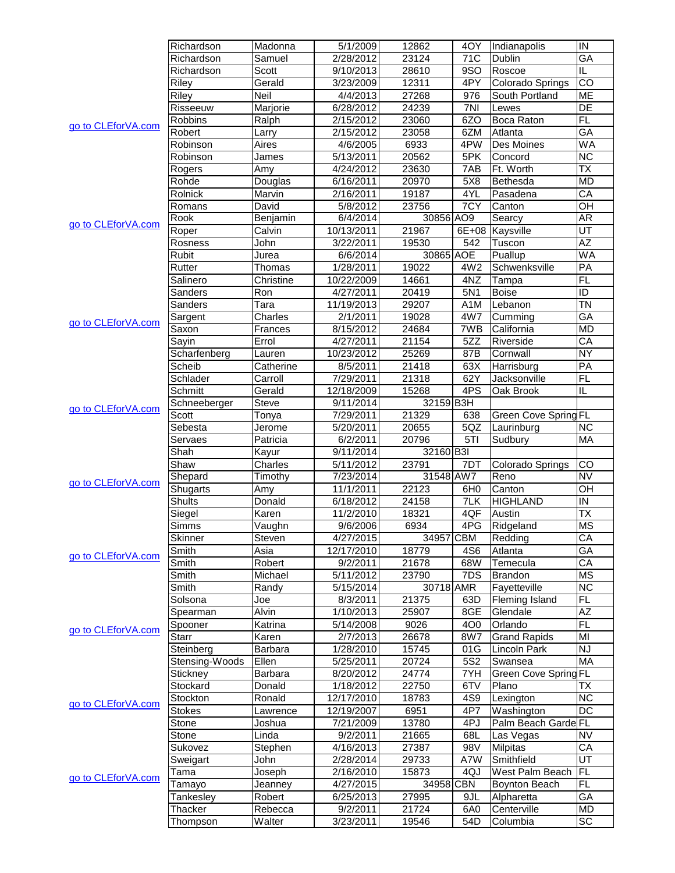|                    | Richardson     | Madonna        | 5/1/2009              | 12862     | 4OY              | Indianapolis                | IN                           |
|--------------------|----------------|----------------|-----------------------|-----------|------------------|-----------------------------|------------------------------|
|                    | Richardson     | Samuel         | 2/28/2012             | 23124     | 71C              | Dublin                      | $\overline{GA}$              |
|                    | Richardson     | Scott          | 9/10/2013             | 28610     | 9SO              | Roscoe                      | IL                           |
|                    | Riley          | Gerald         | 3/23/2009             | 12311     | 4PY              | Colorado Springs            | CO                           |
|                    | Riley          | Neil           | 4/4/2013              | 27268     | 976              | South Portland              | ME                           |
|                    | Risseeuw       | Marjorie       | 6/28/2012             | 24239     | 7NI              | Lewes                       | DE                           |
|                    | <b>Robbins</b> | Ralph          | 2/15/2012             | 23060     | 6ZO              | <b>Boca Raton</b>           | F                            |
| go to CLEforVA.com | Robert         | Larry          | 2/15/2012             | 23058     | 6ZM              | Atlanta                     | $\overline{GA}$              |
|                    | Robinson       | Aires          | 4/6/2005              | 6933      | 4PW              | Des Moines                  | <b>WA</b>                    |
|                    | Robinson       | James          | 5/13/2011             | 20562     | 5PK              | Concord                     | <b>NC</b>                    |
|                    | Rogers         | Amv            | 4/24/2012             | 23630     | 7AB              | Ft. Worth                   | $\overline{\mathsf{TX}}$     |
|                    | Rohde          | Douglas        | 6/16/2011             | 20970     | 5X8              | Bethesda                    | <b>MD</b>                    |
|                    | Rolnick        | Marvin         | 2/16/2011             | 19187     | 4YL              | Pasadena                    | $\overline{\mathsf{CA}}$     |
|                    |                | David          | 5/8/2012              | 23756     | 7CY              | Canton                      | OH                           |
|                    | Romans<br>Rook |                | 6/4/2014              | 30856 AO9 |                  |                             | <b>AR</b>                    |
| go to CLEforVA.com |                | Benjamin       |                       |           |                  | Searcy                      |                              |
|                    | Roper          | Calvin         | 10/13/2011            | 21967     |                  | 6E+08 Kaysville             | UT                           |
|                    | Rosness        | John           | 3/22/2011             | 19530     | 542              | Tuscon                      | ΑZ                           |
|                    | Rubit          | Jurea          | 6/6/2014              | 30865 AOE |                  | Puallup                     | WA                           |
|                    | Rutter         | Thomas         | 1/28/2011             | 19022     | 4W2              | Schwenksville               | PA                           |
|                    | Salinero       | Christine      | 10/22/2009            | 14661     | 4NZ              | Tampa                       | $\overline{FL}$              |
|                    | Sanders        | Ron            | 4/27/2011             | 20419     | 5N1              | <b>Boise</b>                | ID                           |
|                    | Sanders        | Tara           | 11/19/2013            | 29207     | A <sub>1</sub> M | Lebanon                     | $\overline{T}N$              |
| go to CLEforVA.com | Sargent        | Charles        | 2/1/2011              | 19028     | 4W7              | Cumming                     | $\overline{GA}$              |
|                    | Saxon          | Frances        | 8/15/2012             | 24684     | 7WB              | California                  | <b>MD</b>                    |
|                    | Sayin          | Errol          | 4/27/2011             | 21154     | 5ZZ              | Riverside                   | CA                           |
|                    | Scharfenberg   | Lauren         | 10/23/2012            | 25269     | 87B              | Cornwall                    | <b>NY</b>                    |
|                    | Scheib         | Catherine      | 8/5/2011              | 21418     | 63X              | Harrisburg                  | PA                           |
|                    | Schlader       | Carroll        | 7/29/2011             | 21318     | 62Y              | Jacksonville                | FL                           |
|                    | Schmitt        | Gerald         | 12/18/2009            | 15268     | 4PS              | Oak Brook                   | IL                           |
|                    | Schneeberger   | Steve          | 9/11/2014             | 32159 B3H |                  |                             |                              |
| go to CLEforVA.com | Scott          | Tonya          | 7/29/2011             | 21329     | 638              | <b>Green Cove Spring FL</b> |                              |
|                    |                |                |                       | 20655     | $\overline{5QZ}$ | Laurinburg                  | <b>NC</b>                    |
|                    | Sebesta        | Jerome         | 5/20/2011             |           | 5TI              |                             |                              |
|                    | Servaes        | Patricia       | 6/2/2011              | 20796     |                  | Sudbury                     | <b>MA</b>                    |
|                    | Shah           | Kayur          | 9/11/2014             | 32160 B3I |                  |                             |                              |
|                    | Shaw           | Charles        | 5/11/2012             | 23791     | 7DT              | Colorado Springs            | $\overline{c}$               |
| go to CLEforVA.com | Shepard        | Timothy        | 7/23/2014             | 31548 AW7 |                  | Reno                        | <b>NV</b>                    |
|                    |                |                |                       |           |                  |                             | OH                           |
|                    | Shugarts       | Amy            | 11/1/2011             | 22123     | 6H <sub>0</sub>  | Canton                      |                              |
|                    | <b>Shults</b>  | Donald         | 6/18/2012             | 24158     | 7LK              | <b>HIGHLAND</b>             | IN                           |
|                    | Siegel         | Karen          | 11/2/2010             | 18321     | 4QF              | Austin                      | ТX                           |
|                    | Simms          | Vaughn         | 9/6/2006              | 6934      | 4PG              | Ridgeland                   | $\overline{\text{MS}}$       |
|                    | Skinner        | Steven         | 4/27/2015             | 34957 CBM |                  | Redding                     | СA                           |
|                    | Smith          | Asia           | 12/17/2010            | 18779     | 4S6              | Atlanta                     | GA                           |
| go to CLEforVA.com | Smith          | Robert         | 9/2/2011              | 21678     | 68W              | Temecula                    | $\overline{CA}$              |
|                    | Smith          | Michael        | 5/11/2012             | 23790     | 7DS              | <b>Brandon</b>              | <b>MS</b>                    |
|                    | <b>Smith</b>   | Randy          | 5/15/2014             | 30718 AMR |                  | Fayetteville                | <b>NC</b>                    |
|                    | Solsona        | Joe            | 8/3/2011              | 21375     | 63D              |                             | <b>FL</b>                    |
|                    |                |                |                       |           |                  | Fleming Island              |                              |
|                    | Spearman       | Alvin          | 1/10/2013             | 25907     | 8GE              | Glendale                    | AZ                           |
| go to CLEforVA.com | Spooner        | Katrina        | 5/14/2008             | 9026      | 4O <sub>0</sub>  | Orlando                     | FL                           |
|                    | Starr          | Karen          | 2/7/2013              | 26678     | 8W7              | <b>Grand Rapids</b>         | $\overline{\mathsf{M}}$      |
|                    | Steinberg      | Barbara        | 1/28/2010             | 15745     | 01G              | Lincoln Park                | <b>NJ</b>                    |
|                    | Stensing-Woods | Ellen          | 5/25/2011             | 20724     | 5S2              | Swansea                     | <b>MA</b>                    |
|                    | Stickney       | <b>Barbara</b> | 8/20/2012             | 24774     | 7YH              | <b>Green Cove Spring FL</b> |                              |
|                    | Stockard       | Donald         | 1/18/2012             | 22750     | 6TV              | Plano                       | TX                           |
| go to CLEforVA.com | Stockton       | Ronald         | 12/17/2010            | 18783     | 4S9              | Lexington                   | <b>NC</b>                    |
|                    | <b>Stokes</b>  | Lawrence       | 12/19/2007            | 6951      | 4P7              | Washington                  | DC                           |
|                    | Stone          | Joshua         | 7/21/2009             | 13780     | 4PJ              | Palm Beach Garde FL         |                              |
|                    | Stone          | Linda          | 9/2/2011              | 21665     | 68L              | Las Vegas                   | <b>NV</b>                    |
|                    | Sukovez        | Stephen        | 4/16/2013             | 27387     | 98V              | <b>Milpitas</b>             | CA                           |
|                    | Sweigart       | John           | 2/28/2014             | 29733     | A7W              | Smithfield                  | UT                           |
|                    | Tama           | Joseph         | 2/16/2010             | 15873     | 4QJ              | West Palm Beach             | <b>FL</b>                    |
| go to CLEforVA.com | Tamayo         | Jeanney        | 4/27/2015             | 34958 CBN |                  | <b>Boynton Beach</b>        | F                            |
|                    | Tankesley      | Robert         | 6/25/2013             | 27995     | 9JL              | Alpharetta                  | GA                           |
|                    | Thacker        | Rebecca        | 9/2/2011<br>3/23/2011 | 21724     | 6A0              | Centerville                 | <b>MD</b><br>$\overline{SC}$ |